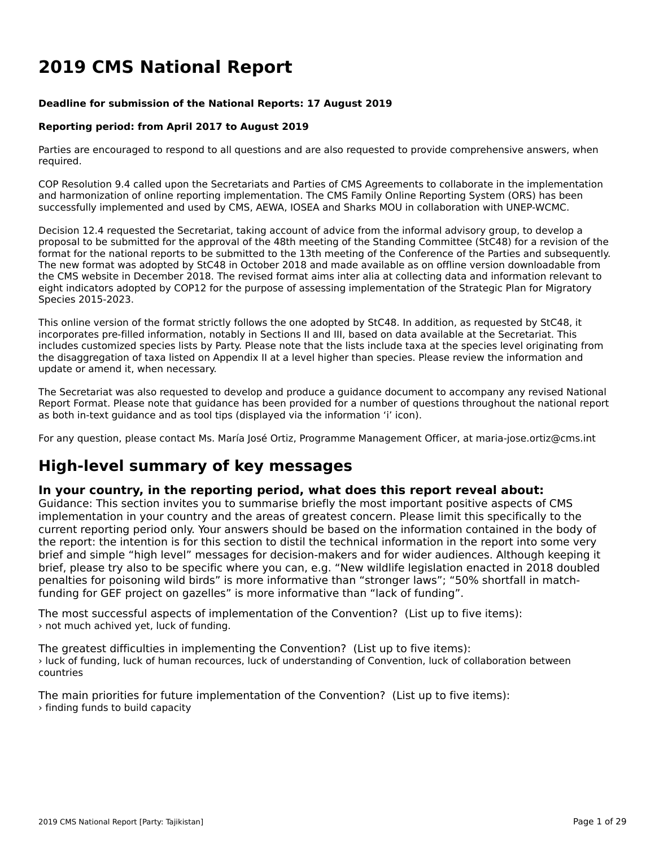# **2019 CMS National Report**

#### **Deadline for submission of the National Reports: 17 August 2019**

#### **Reporting period: from April 2017 to August 2019**

Parties are encouraged to respond to all questions and are also requested to provide comprehensive answers, when required.

COP Resolution 9.4 called upon the Secretariats and Parties of CMS Agreements to collaborate in the implementationand harmonization of online reporting implementation. The CMS Family Online Reporting System (ORS) has been successfully implemented and used by CMS, AEWA, IOSEA and Sharks MOU in collaboration with UNEP-WCMC.

Decision 12.4 requested the Secretariat, taking account of advice from the informal advisory group, to develop a proposal to be submitted for the approval of the 48th meeting of the Standing Committee (StC48) for a revision of the format for the national reports to be submitted to the 13th meeting of the Conference of the Parties and subsequently. The new format was adopted by StC48 in October 2018 and made available as on offline version downloadable from the CMS website in December 2018. The revised format aims inter alia at collecting data and information relevant to eight indicators adopted by COP12 for the purpose of assessing implementation of the Strategic Plan for Migratory Species 2015-2023.

This online version of the format strictly follows the one adopted by StC48. In addition, as requested by StC48, it incorporates pre-filled information, notably in Sections II and III, based on data available at the Secretariat. This includes customized species lists by Party. Please note that the lists include taxa at the species level originating from the disaggregation of taxa listed on Appendix II at a level higher than species. Please review the information and update or amend it, when necessary.

The Secretariat was also requested to develop and produce a guidance document to accompany any revised National The Secretariat was also requested to develop and produce a guidance document to accompany any revised National<br>Report Format. Please note that guidance has been provided for a number of questions throughout the national r as both in-text guidance and as tool tips (displayed via the information 'i' icon).

For any question, please contact Ms. María José Ortiz, Programme Management Officer, at maria-jose.ortiz@cms.int

# **High-level summary of key messages**

### **In your country, in the reporting period, what does this report reveal about:**

In your country, in the reporting period, what does this report revear about.<br>Guidance: This section invites you to summarise briefly the most important positive aspects of CMS implementation in your country and the areas of greatest concern. Please limit this specifically to the reprementation in your country and the areas or greatest content. Frease limit this specifically to the<br>current reporting period only. Your answers should be based on the information contained in the body of brief and simple "high level" messages for decision-makers and for wider audiences. Although keeping itbrief, plus simple tright level messages for decision-makers and for where addenies. Although New Wildlife legislation enacted in 2018 doubled penalties for poisoning wild birds" is more informative than "stronger laws"; "50% shortfall in matchfunding for GEF project on gazelles" is more informative than "lack of funding".

The most successful aspects of implementation of the Convention? (List up to five items): I'lle most succession aspects of linpi

The greatest difficulties in implementing the Convention? (List up to five items): Inc greatest annealties in implementing the convention: (Else ap to live fems).<br>I luck of funding, luck of human recources, luck of understanding of Convention, luck of collaboration between

The main priorities for future implementation of the Convention? (List up to five items): › finding funds to build capacity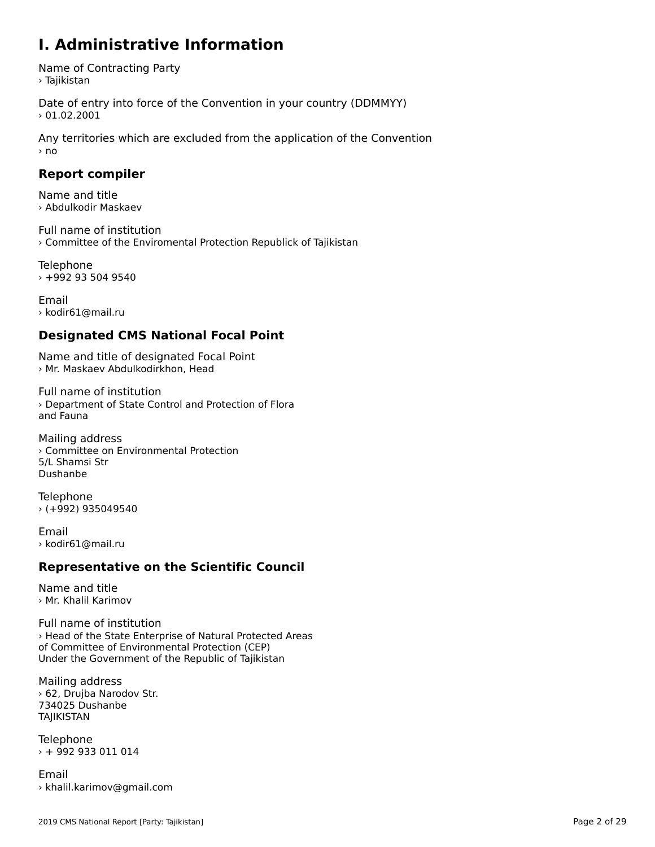### **I. Administrative Information**

Name of Contracting Party > Tajikistan

Date of entry into force of the Convention in your country (DDMMYY)  $> 01.02.2001$ 

Any territories which are excluded from the application of the Convention › no

### **Report compiler**

Name and title› Abdulkodir Maskaev

Full name of institution › Committee of the Enviromental Protection Republick of Tajikistan

Telephone › +992 93 504 9540

Email› kodir61@mail.ru

### **Designated CMS National Focal Point**

Name and title of designated Focal Point › Mr. Maskaev Abdulkodirkhon, Head

Full name of institution› Department of State Control and Protection of Floraand Fauna

Mailing address › Committee on Environmental Protection5/L Shamsi Str Dushanbe

Telephone › (+992) 935049540

Email › kodir61@mail.ru

### **Representative on the Scientific Council**

Name and title› Mr. Khalil Karimov

Full name of institution › Head of the State Enterprise of Natural Protected Areas of Committee of Environmental Protection (CEP) or committee or Environmental Protection (CEP)<br>Under the Government of the Republic of Tajikistan

Mailing address › 62, Drujba Narodov Str. 734025 Dushanbe **TAJIKISTAN** 

Telephone › + 992 933 011 014

Email › khalil.karimov@gmail.com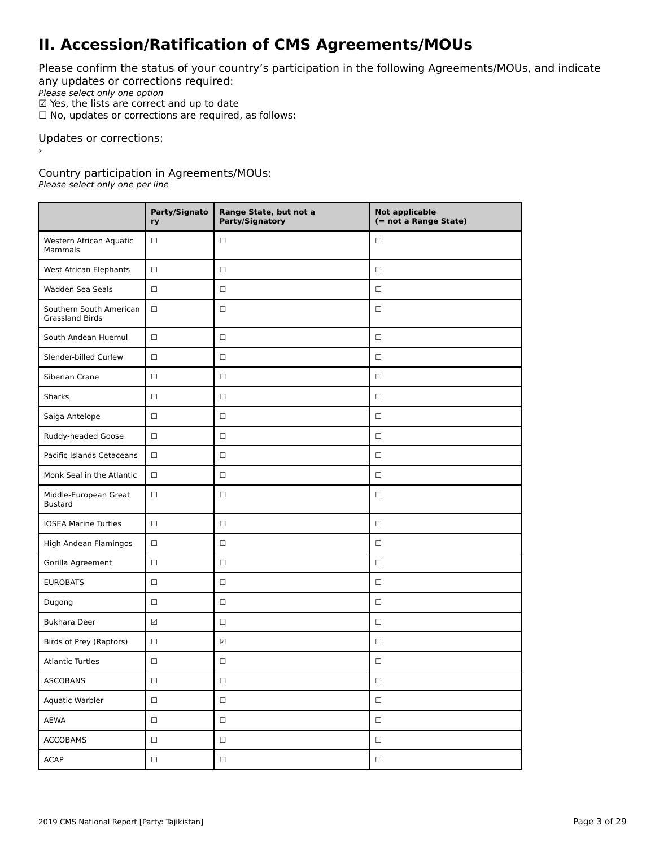## **II. Accession/Ratification of CMS Agreements/MOUs**

Please confirm the status of your country's participation in the following Agreements/MOUs, and indicate any updates or corrections required:

any apaaces of correctiv<br>Please select only one option

 $\Psi$  Yes, the lists are correct and up to date<br> $\Psi$  Yes, the lists are correct and up to date

 $\Box$  No, updates or corrections are required, as follows:

Updates or corrections:

Country participation in Agreements/MOUs:

Please select only one per line

|                                                   | Party/Signato<br>ry      | Range State, but not a<br>Party/Signatory | <b>Not applicable</b><br>(= not a Range State) |
|---------------------------------------------------|--------------------------|-------------------------------------------|------------------------------------------------|
| Western African Aquatic<br>Mammals                | $\Box$                   | $\Box$                                    | □                                              |
| West African Elephants                            | $\Box$                   | $\Box$                                    | $\Box$                                         |
| Wadden Sea Seals                                  | $\Box$                   | $\Box$                                    | $\Box$                                         |
| Southern South American<br><b>Grassland Birds</b> | $\Box$                   | $\Box$                                    | $\Box$                                         |
| South Andean Huemul                               | $\Box$                   | $\Box$                                    | $\Box$                                         |
| Slender-billed Curlew                             | $\Box$                   | $\Box$                                    | $\Box$                                         |
| Siberian Crane                                    | $\Box$                   | $\Box$                                    | $\Box$                                         |
| Sharks                                            | $\Box$                   | $\Box$                                    | $\Box$                                         |
| Saiga Antelope                                    | $\Box$                   | $\Box$                                    | □                                              |
| Ruddy-headed Goose                                | $\Box$                   | $\Box$                                    | $\Box$                                         |
| Pacific Islands Cetaceans                         | $\Box$                   | $\Box$                                    | $\Box$                                         |
| Monk Seal in the Atlantic                         | $\Box$                   | $\Box$                                    | $\Box$                                         |
| Middle-European Great<br><b>Bustard</b>           | $\Box$                   | $\Box$                                    | □                                              |
| <b>IOSEA Marine Turtles</b>                       | $\Box$                   | $\Box$                                    | $\Box$                                         |
| High Andean Flamingos                             | $\Box$                   | $\Box$                                    | $\Box$                                         |
| Gorilla Agreement                                 | $\Box$                   | $\Box$                                    | $\Box$                                         |
| <b>EUROBATS</b>                                   | $\Box$                   | $\Box$                                    | $\Box$                                         |
| Dugong                                            | $\Box$                   | $\Box$                                    | $\Box$                                         |
| <b>Bukhara Deer</b>                               | $\overline{\mathcal{L}}$ | $\Box$                                    | □                                              |
| Birds of Prey (Raptors)                           | $\Box$                   | $\overline{\checkmark}$                   | $\Box$                                         |
| <b>Atlantic Turtles</b>                           | □                        | $\Box$                                    | □                                              |
| ASCOBANS                                          | $\Box$                   | $\Box$                                    | $\Box$                                         |
| Aquatic Warbler                                   | $\hfill \square$         | $\Box$                                    | $\Box$                                         |
| AEWA                                              | $\hfill \square$         | $\Box$                                    | $\Box$                                         |
| <b>ACCOBAMS</b>                                   | $\hfill \square$         | $\hfill \square$                          | $\Box$                                         |
| <b>ACAP</b>                                       | $\Box$                   | $\Box$                                    | $\Box$                                         |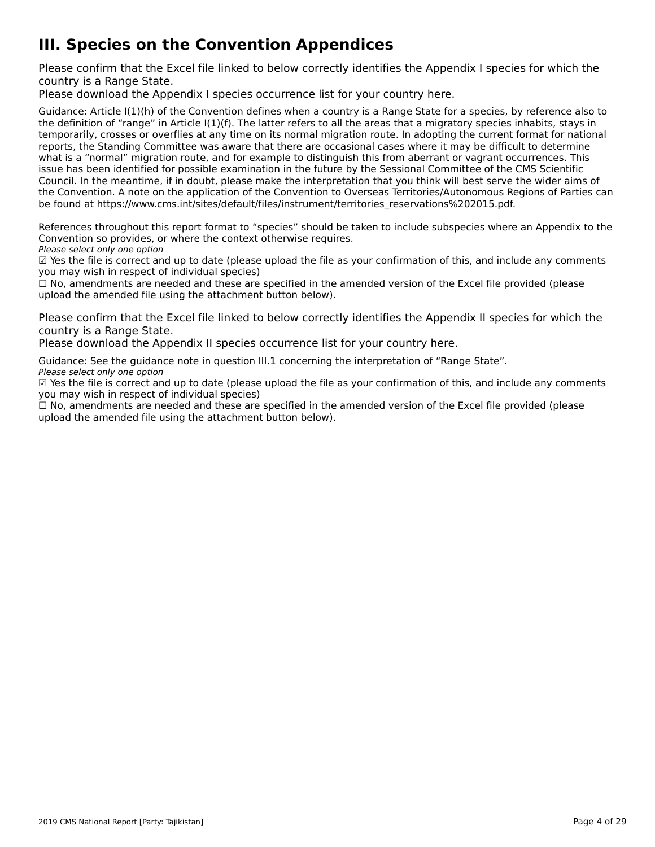# **III. Species on the Convention Appendices**

Please confirm that the Excel file linked to below correctly identifies the Appendix I species for which the

Please download the Appendix I species occurrence list for your country [here](http://tinyurl.com/y3yendbg).

Guidance: Article I(1)(h) of the Convention defines when a country is a Range State for a species, by reference also to the definition of "range" in Article I(1)(f). The latter refers to all the areas that a migratory species inhabits, stays in the deminion of Tange in Article ((1)(1). The facter felers to an the areas that a migratory species imfabits, stays in<br>temporarily, crosses or overflies at any time on its normal migration route. In adopting the current f reports, the Standing Committee was aware that there are occasional cases where it may be difficult to determine what is a "normal" migration route, and for example to distinguish this from aberrant or vagrant occurrences. This what is a "hormal" migration route, and for example to distinguish this nonraberrant or vagrant occurrences. Th<br>issue has been identified for possible examination in the future by the Sessional Committee of the CMS Scienti Council. In the meantime, if in doubt, please make the interpretation that you think will best serve the wider aims of the Convention. A note on the application of the Convention to Overseas Territories/Autonomous Regions of Parties can the convention. A note on the application of the convention to Overseas Territories/Adtonomous Re<br>be found at https://www.cms.int/sites/default/files/instrument/territories\_reservations%202015.pdf.

References throughout this report format to "species" should be taken to include subspecies where an Appendix to the References unbugnout this report format to "species" should be t<br>Convention so provides, or where the context otherwise requires.

Please select only one option

☑ Yes the file is correct and up to date (please upload the file as your confirmation of this, and include any comments $\Xi$  ies the nie is correct and up to date (please<br>you may wish in respect of individual species)

you may wish in respect of mulvidual species)<br>□ No, amendments are needed and these are specified in the amended version of the Excel file provided (please  $\square$  ivo, amendments are needed and these are specified in the<br>upload the amended file using the attachment button below).

Please confirm that the Excel file linked to below correctly identifies the Appendix II species for which the

Please download the Appendix II species occurrence list for your country [here](http://tinyurl.com/y3yendbg).

Guidance: See the guidance note in question III.1 concerning the interpretation of "Range State". Please select only one option

Please select only one option<br>☑ Yes the file is correct and up to date (please upload the file as your confirmation of this, and include any comments you may wish in respect of individual species)

☐ No, amendments are needed and these are specified in the amended version of the Excel file provided (please upload the amended file using the attachment button below).upload the amended file using the attachment button below).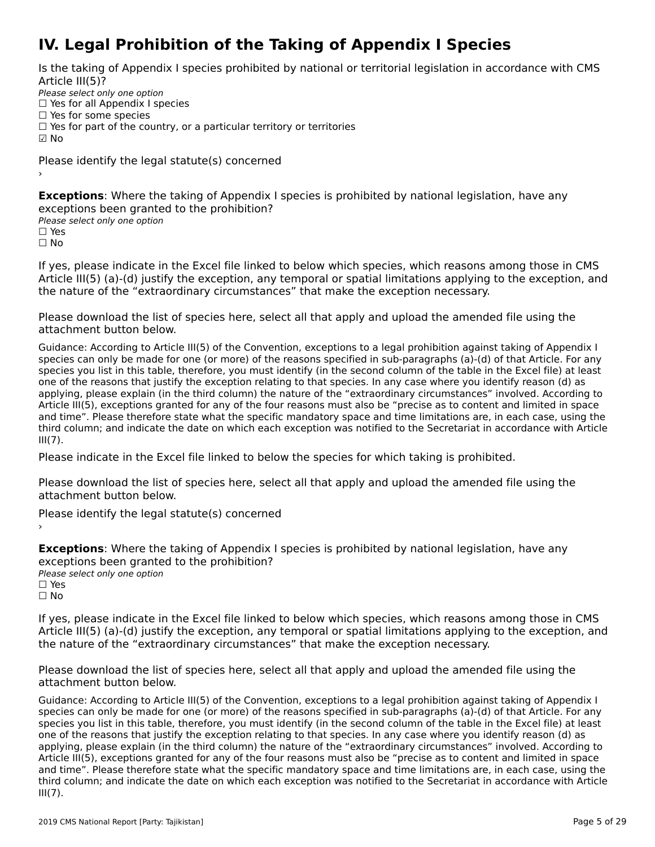## **IV. Legal Prohibition of the Taking of Appendix I Species**

Is the taking of Appendix I species prohibited by national or territorial legislation in accordance with CMS

Please select only one option Prease select only one option<br>□ Yes for all Appendix I species

 $\Box$  Yes for some species

□ Tes for some species<br>□ Yes for part of the country, or a particular territory or territories

 $\boxdot$  No

Please identify the legal statute(s) concerned

**Exceptions**: Where the taking of Appendix I species is prohibited by national legislation, have any exceptions been granted to the prohibition?<br>Please select only one option

☐ Yes

☐ No

If yes, please indicate in the Excel file linked to below which species, which reasons among those in CMS Article III(5) (a)-(d) justify the exception, any temporal or spatial limitations applying to the exception, and the nature of the "extraordinary circumstances" that make the exception necessary.

Please download the list of species [here](http://tinyurl.com/y66dcyte), select all that apply and upload the amended file using the attachment button below.

Guidance: According to Article III(5) of the Convention, exceptions to a legal prohibition against taking of Appendix I species can only be made for one (or more) of the reasons specified in sub-paragraphs (a)-(d) of that Article. For any species can only be made for one (or more) or the reasons specified in sub-paragraphs (a)-(u) or that Article. For any<br>species you list in this table, therefore, you must identify (in the second column of the table in the species you ust in this table, therefore, you must identify (in the second column of the table in the Excernie) at le<br>one of the reasons that justify the exception relating to that species. In any case where you identify r applying, please explain (in the third column) the nature of the "extraordinary circumstances" involved. According to Article III(5), exceptions granted for any of the four reasons must also be "precise as to content and limited in space and time". Please therefore state what the specific mandatory space and time limitations are, in each case, using the and time. The ase therefore state what the specific manuatory space and time immetions are, in each case, using the<br>third column; and indicate the date on which each exception was notified to the Secretariat in accordance  $III(7)$ .

Please indicate in the Excel file linked to below the species for which taking is prohibited.

Please download the list of species [here](http://tinyurl.com/y4drhzs6), select all that apply and upload the amended file using the attachment button below.

Please identify the legal statute(s) concerned

**Exceptions**: Where the taking of Appendix I species is prohibited by national legislation, have any exceptions been granted to the prohibition?**Please select only one option** □ Yes<br>□ No

If yes, please indicate in the Excel file linked to below which species, which reasons among those in CMS n yes, please indicate in the Exception, any temporal or spatial limitations applying to the exception, and<br>Article III(5) (a)-(d) justify the exception, any temporal or spatial limitations applying to the exception, and the nature of the "extraordinary circumstances" that make the exception necessary.

Please download the list of species [here](http://tinyurl.com/y66dcyte), select all that apply and upload the amended file using the attachment button below.

Guidance: According to Article III(5) of the Convention, exceptions to a legal prohibition against taking of Appendix I species can only be made for one (or more) of the reasons specified in sub-paragraphs (a)-(d) of that Article. For any species can only be made for one (or more) or the reasons specified in sub-paragraphs (a)-(u) or that Article. For any<br>species you list in this table, therefore, you must identify (in the second column of the table in the species you ust in this table, therefore, you must identify (in the second column of the table in the Excernie) at le<br>one of the reasons that justify the exception relating to that species. In any case where you identify r applying, please explain (in the third column) the nature of the "extraordinary circumstances" involved. According to Article III(5), exceptions granted for any of the four reasons must also be "precise as to content and limited in space and time". Please therefore state what the specific mandatory space and time limitations are, in each case, using the and time. The ase therefore state what the specific manuatory space and time immetions are, in each case, using the<br>third column; and indicate the date on which each exception was notified to the Secretariat in accordance  $III(7)$ .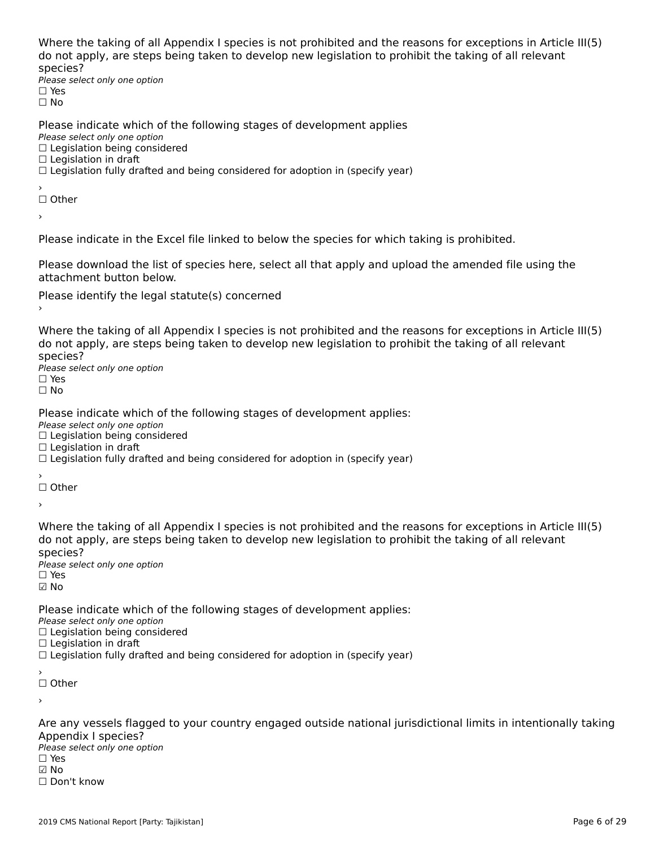Where the taking of all Appendix I species is not prohibited and the reasons for exceptions in Article III(5) where the taxing of an Appendix I species is not prombited and the reasons for exceptions in Articli<br>do not apply, are steps being taken to develop new legislation to prohibit the taking of all relevant

⊃peete∋.<br>Please select only one option □ Yes<br>□ No

Please indicate which of the following stages of development applies

ricase marcate winch o<br>Please select only one option *riease select only one option*<br>□ Legislation being considered

□ Legislation being c<br>□ Legislation in draft

□ Legislation in drait<br>□ Legislation fully drafted and being considered for adoption in (specify year)

′<br>□ Other

›

Please indicate in the Excel file linked to below the species for which taking is prohibited.

Please download the list of species [here](http://tinyurl.com/y4drhzs6), select all that apply and upload the amended file using the

Please identify the legal statute(s) concerned

Where the taking of all Appendix I species is not prohibited and the reasons for exceptions in Article III(5) an increase the steps being taken to develop new regislation to promine the taking or an relevant

⊃peete∋.<br>Please select only one option □ Yes<br>□ No

Please indicate which of the following stages of development applies:

ricase marcate winch o<br>Please select only one option

Prease select only one option<br>□ Legislation being considered

 $\Box$  Legislation in draft

□ Legislation in drait<br>□ Legislation fully drafted and being considered for adoption in (specify year)

′<br>□ Other

›

Where the taking of all Appendix I species is not prohibited and the reasons for exceptions in Article III(5)<br>de not apply, are stans being taken to develop new legislation to probibit the taking of all relevants about apply, are steps being taken to develop new legislation to promint the taking or all relevant

⊃peete∋.<br>Please select only one option ☑ No

Please indicate which of the following stages of development applies:

. **Lease mareate which b**<br>Please select only one option

☐ Legislation being considered□ Legislation being c<br>□ Legislation in draft

□ Legislation in diart<br>□ Legislation fully drafted and being considered for adoption in (specify year)

☐ Other

›

Are any vessels flagged to your country engaged outside national jurisdictional limits in intentionally taking<br>Appendix Langgias? ∩ppenances.<br>Please select only one option  $\square$  Yes ☑ No☐ Don't know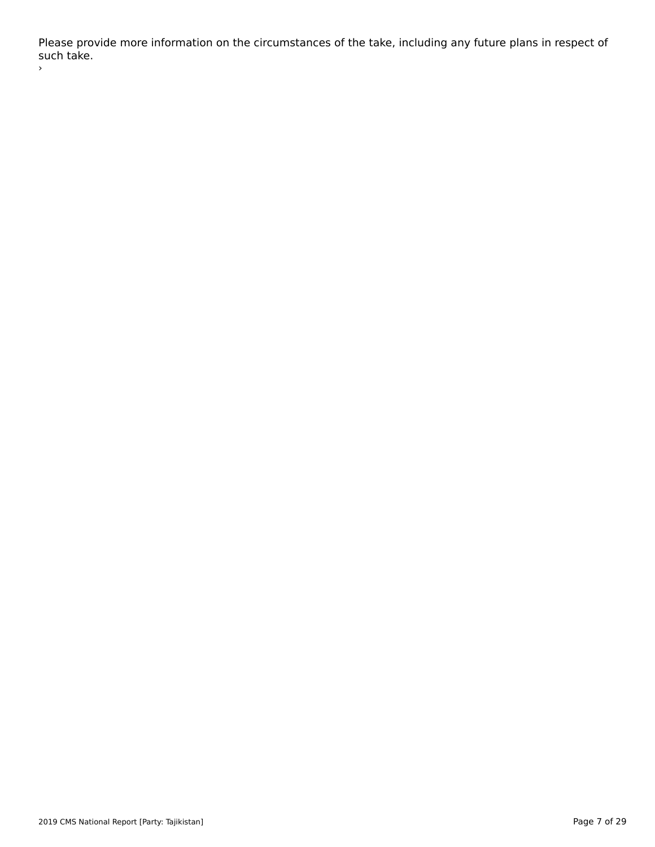Please provide more information on the circumstances of the take, including any future plans in respect of r rease pro<br>such take. ›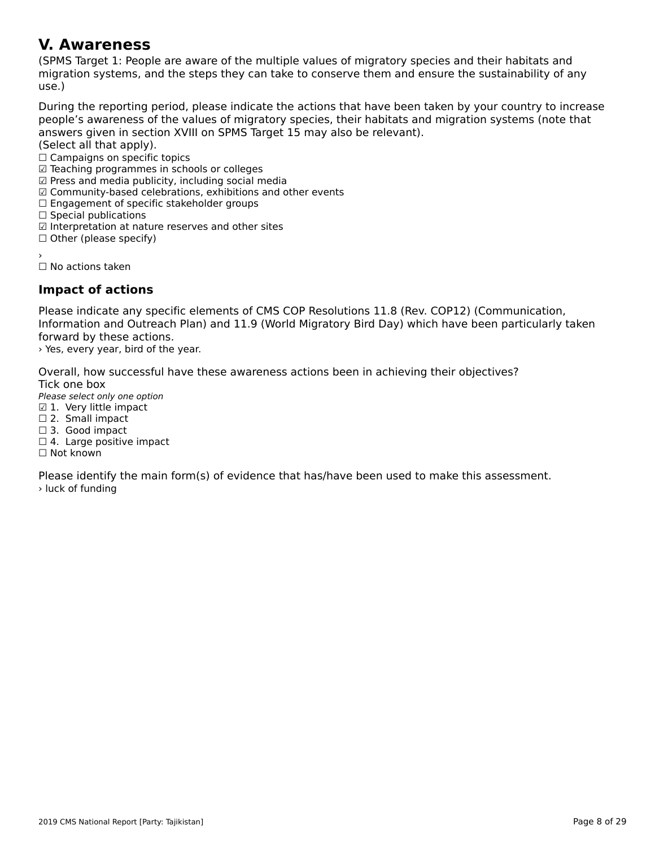#### **V. Awareness**

(SPMS Target 1: People are aware of the multiple values of migratory species and their habitats and migration systems, and the steps they can take to conserve them and ensure the sustainability of anymigration systems, and the steps they can take to conserve them and ensure the sustainability of any nnyre<br>use.)

During the reporting period, please indicate the actions that have been taken by your country to increase people's aware liess of the Valley of Highatoly species, their happens and implation systems (note that answers given in section XVIII on SPMS Target 15 may also be relevant).

(Select all that apply).

University on the tapply.<br>○ Campaigns on specific topics

□ Campaigns on specific topics<br>☑ Teaching programmes in schools or colleges

☑ Press and media publicity, including social media

⊠ Fress and media publicity, including social media<br>☑ Community-based celebrations, exhibitions and other events

⊠ Community-based celebrations, exmoltions<br>□ Engagement of specific stakeholder groups

□ Engagement or spec<br>□ Special publications

□ Special publications<br>☑ Interpretation at nature reserves and other sites

☑ interpretation at natur<br>□ Other (please specify)

☐ No actions taken

### **Impact of actions**

Please indicate any specific elements of CMS COP Resolutions 11.8 (Rev. COP12) (Communication,<br>Information and Outreach Plan) and 11.9 (World Migratory Bird Day) which have been particularly taken mormation and Outleath Flah) and II.5 (World Migratory Bird Day) which have been particularly taken.<br>forward by these forward by these actions.

› Yes, every year, bird of the year.

Overall, how successful have these awareness actions been in achieving their objectives? Tick one box

Please select only one option

*riease select only one opl*<br>☑ 1. Very little impact

⊠ 1. very ntue ming<br>□ 2. Small impact

□ 2. Sman impact<br>□ 3. Good impact

□ 5. Oood impact<br>□ 4. Large positive impact

□ <del>4</del>. Large p<br>□ Not known

Please identify the main form(s) of evidence that has/have been used to make this assessment. › luck of funding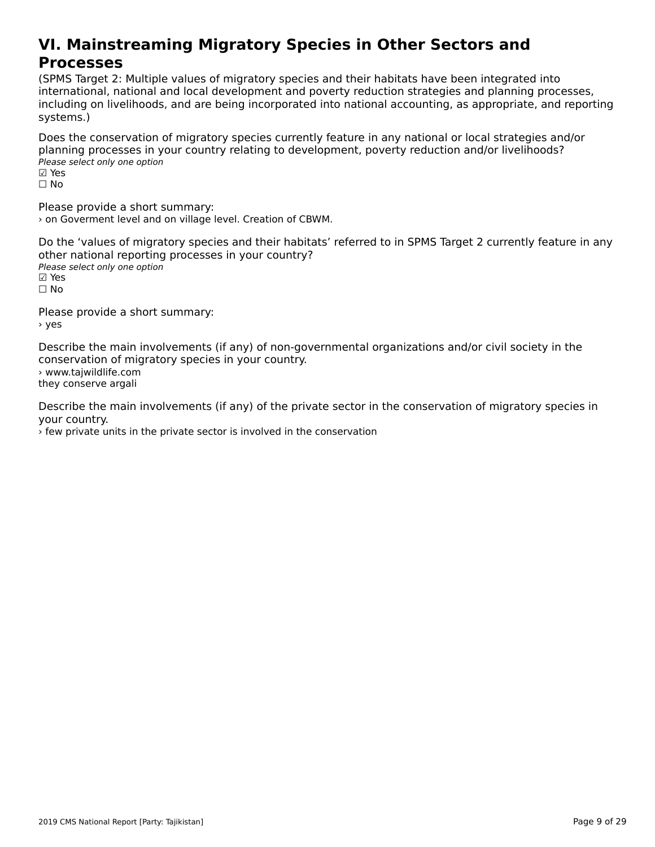#### **VI. Mainstreaming Migratory Species in Other Sectors andProcesses**<br>Processes **Processes**

(SPMS Target 2: Multiple values of migratory species and their habitats have been integrated into international, national and local development and poverty reduction strategies and planning processes, incernational, hational and local development and poverty reduction strategies and planning processes,<br>including on livelihoods, and are being incorporated into national accounting, as appropriate, and reporting systems.)

Does the conservation of migratory species currently feature in any national or local strategies and/or planning processes in your country relating to development, poverty reduction and/or livelihoods? pianning processes in y<br>Please select only one option

⊠ Yes<br>□ No

Please provide a short summary: › on Goverment level and on village level. Creation of CBWM.

Do the 'values of migratory species and their habitats' referred to in SPMS Target 2 currently feature in any other national reporting processes in your country? ocher national reporting<br>Please select only one option ⊠ Yes<br>□ No

Please provide a short summary: $\frac{1}{2}$ > yes

Describe the main involvements (if any) of non-governmental organizations and/or civil society in the conservation of migratory species in your country. › www.tajwildlife.com s www.cajwildille.com<br>they conserve argali

Describe the main involvements (if any) of the private sector in the conservation of migratory species in your country.

› few private units in the private sector is involved in the conservation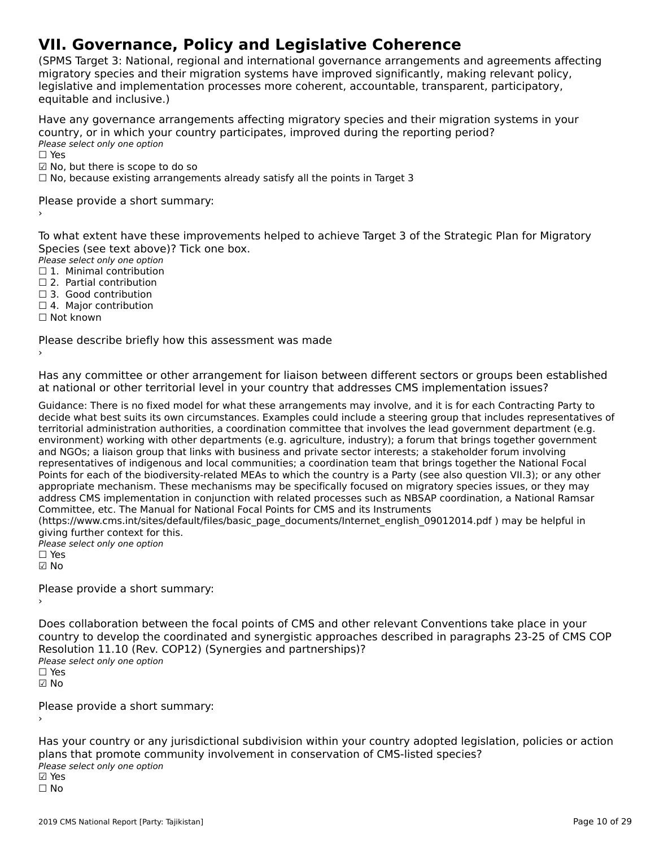# **VII. Governance, Policy and Legislative Coherence**

(SPMS Target 3: National, regional and international governance arrangements and agreements affecting migratory species and their migration systems have improved significantly, making relevant policy, lingratory species and their migration systems nave improved significantly, making relevant polic<sub>i</sub><br>legislative and implementation processes more coherent, accountable, transparent, participatory, equitable and inclusive.)

Have any governance arrangements affecting migratory species and their migration systems in your country, or in which your country participates, improved during the reporting period? ⊂odinci y, or in winch you<br>Please select only one option

☑ No, but there is scope to do so

⊠ No, bat there is scope to do so<br>□ No, because existing arrangements already satisfy all the points in Target 3

Please provide a short summary:›

To what extent have these improvements helped to achieve Target 3 of the Strategic Plan for Migratory Species (see text above)? Tick one box.

Please select only one option ☐ 1. Minimal contribution

 $\Box$  1. Minimal contribution

□ 2. Partial contribution □ 3. Good contribution

□ 5. Good contribution<br>□ 4. Major contribution

☐ Not known

Please describe briefly how this assessment was made

Has any committee or other arrangement for liaison between different sectors or groups been established rias any committee or other arrangement for naison between unferent sectors or groups been t<br>at national or other territorial level in your country that addresses CMS implementation issues?

Suidance: There is no fixed model for what these arrangements may involve, and it is for each Contracting Party to<br>deside what hast suite its sum simulations of Funnalse sould include a steading may that includes managemen territorial administration and committee that increase the lead of the lead government depression committee th territorial administration authorities, a coordination committee that involves the lead government department (e.g. environment) working with other departments (e.g. agriculture, industry); a forum that brings together government and NGOs; a liaison group that links with business and private sector interests; a stakeholder forum involving representatives of indigenous and local communities; a coordination team that brings together the National Focal Points for each of the biodiversity-related MEAs to which the country is a Party (see also question VII.3); or any other appropriate mechanism. These mechanisms may be specifically focused on migratory species issues, or they may appropriate mechanism. These mechanisms may be specifically focused on implicity species issues, or they may<br>address CMS implementation in conjunction with related processes such as NBSAP coordination, a National Ramsar Committee, etc. The Manual for National Focal Points for CMS and its Instruments

Committee, etc. The Manual for National Focal Folits for CMS and its instruments<br>(https://www.cms.int/sites/default/files/basic\_page\_documents/Internet\_english\_09012014.pdf ) may be helpful in giving further context for this.

giving further concext for t<br>Please select only one option

 $\Box$  Yes ☑ No

Please provide a short summary:›

Does collaboration between the focal points of CMS and other relevant Conventions take place in your country to develop the coordinated and synergistic approaches described in paragraphs 23-25 of CMS COP Resolution 11.10 (Rev. COP12) (Synergies and partnerships)?Please select only one option☐ Yes☑ No

Please provide a short summary:›

Has your country or any jurisdictional subdivision within your country adopted legislation, policies or action<br>Referenting that promote community involvement in conservation of CMS-listed species? plans that promote community involvement in conservation of CMS-listed species? Please select only one option ☐ No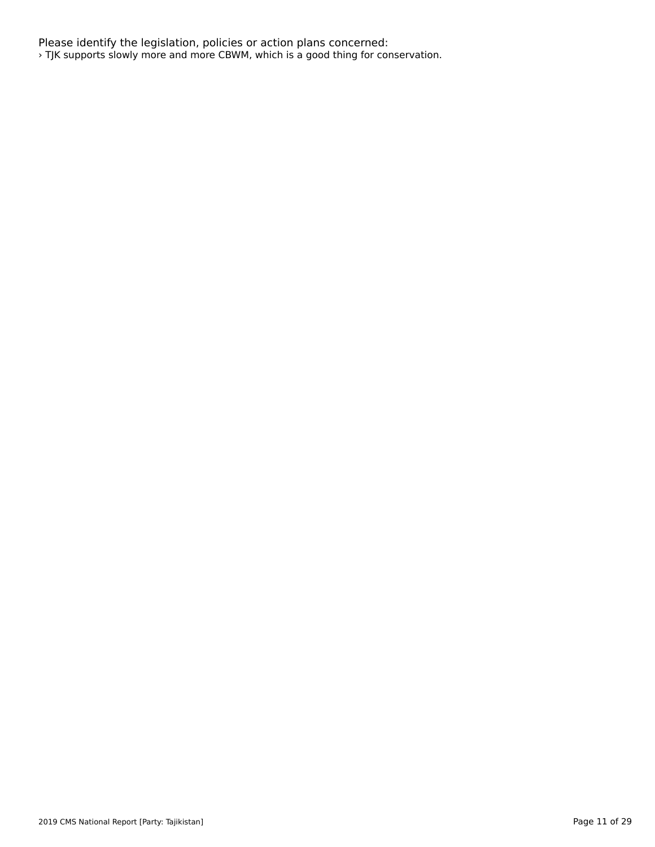Please identify the legislation, policies or action plans concerned: › TJK supports slowly more and more CBWM, which is a good thing for conservation.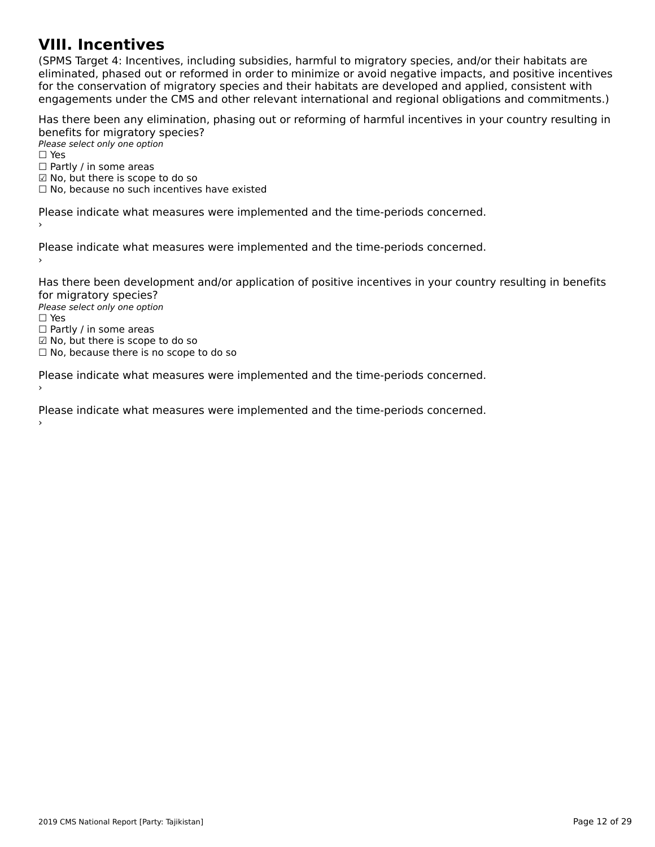#### **VIII. Incentives**

(SPMS Target 4: Incentives, including subsidies, harmful to migratory species, and/or their habitats are כדיום ומונסות iarget 4. Incentives, including subsidies, naminal to migratory species, and/or their nabitats are<br>eliminated, phased out or reformed in order to minimize or avoid negative impacts, and positive incentives eminiaced, phased out of reformed in order to minimize or avoid negative impacts, and positive incenti<br>for the conservation of migratory species and their habitats are developed and applied, consistent with for the conservation of migratory species and their nabitats are developed and applied, consistent with<br>engagements under the CMS and other relevant international and regional obligations and commitments.)

Has there been any elimination, phasing out or reforming of harmful incentives in your country resulting in benefits for migratory species?

<del>Defients for fingfatory</del> 5<br>Please select only one option  $\square$  Yes □ Partly / in some areas □ Fartly / iii some areas<br>☑ No, but there is scope to do so ⊠ No, but there is scope to do so<br>□ No, because no such incentives have existed

Please indicate what measures were implemented and the time-periods concerned.

Please indicate what measures were implemented and the time-periods concerned.

Has there been development and/or application of positive incentives in your country resulting in benefits for migratory species? ror ringratory spectes.<br>Please select only one option

*riease*<br>□ Yes □ ies<br>□ Partly / in some areas □ Fartly / iii some areas<br>☑ No, but there is scope to do so

⊠ No, but there is scope to do so<br>□ No, because there is no scope to do so

Please indicate what measures were implemented and the time-periods concerned. ›

Please indicate what measures were implemented and the time-periods concerned.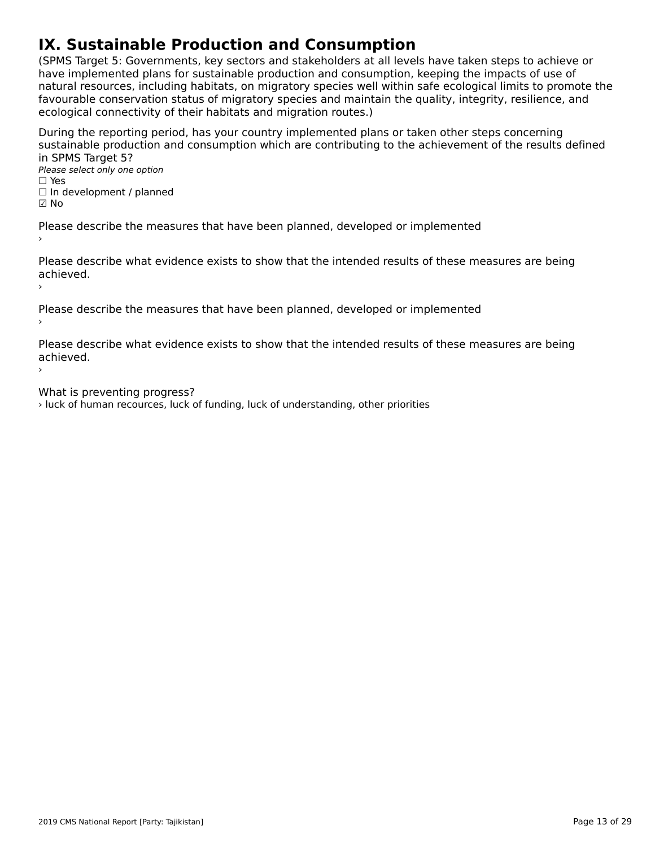# **IX. Sustainable Production and Consumption**

(SPMS Target 5: Governments, key sectors and stakeholders at all levels have taken steps to achieve or have implemented plans for sustainable production and consumption, keeping the impacts of use of nave implemented plans for sustainable production and consumption, keeping the impacts of use of<br>natural resources, including habitats, on migratory species well within safe ecological limits to promote the<br>favourable cons favourable conservation status of migratory species and maintain the quality, integrity, resilience, and ecological connectivity of their habitats and migration routes.)

During the reporting period, has your country implemented plans or taken other steps concerning sustainable production and consumption which are contributing to the achievement of the results defined in SPMS Target 5?in SPMS Target 5?

…→ ST → D → Lat get 5 :<br>Please select only one option  $\square$  Yes

□ ies<br>□ In development / planned

☑ No

Please describe the measures that have been planned, developed or implemented

Please describe what evidence exists to show that the intended results of these measures are being achieved.achieved.

Please describe the measures that have been planned, developed or implemented

Please describe what evidence exists to show that the intended results of these measures are being achieved.

›

›

What is preventing progress?

› luck of human recources, luck of funding, luck of understanding, other priorities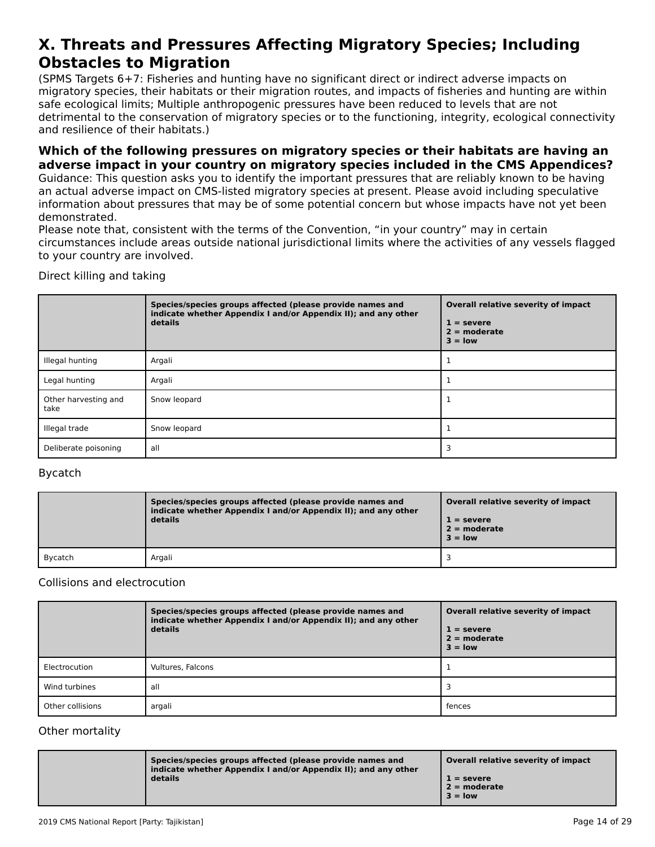#### **X. Threats and Pressures Affecting Migratory Species; Including Obstacles to MigrationObstacles to Migration**

(SPMS Targets 6+7: Fisheries and hunting have no significant direct or indirect adverse impacts onוסו כאיראכן, וואס הארטייט וואס ומילכל וואס הארטייט ווערכל מסיפור וואס מארטייט ווערכל מסיפור וואס מארטייט ווערכ<br>migratory species, their habitats or their migration routes, and impacts of fisheries and hunting are within migratory species, their nabitats of their migration routes, and impacts or ilsheries and numing a<br>safe ecological limits; Multiple anthropogenic pressures have been reduced to levels that are not sale ecological limits, Multiple antihopogenic pressures have been reduced to levels that are not<br>detrimental to the conservation of migratory species or to the functioning, integrity, ecological connectivity and resilience of their habitats.)

#### **Which of the following pressures on migratory species or their habitats are having an adverse impact in your country on migratory species included in the CMS Appendices?**

Guidance: This question asks you to identify the important pressures that are reliably known to be having an actual adverse impact on CMS-listed migratory species at present. Please avoid including speculative an actual auverse impact on civis-listed migratory species at present. Flease avoid including speculative<br>information about pressures that may be of some potential concern but whose impacts have not yet been demonstrated.

Please note that, consistent with the terms of the Convention, "in your country" may in certain circumstances include areas outside national jurisdictional limits where the activities of any vessels flagged ch curristances include areas<br>to your country are involved.

Direct killing and taking

|                              | Species/species groups affected (please provide names and<br>indicate whether Appendix I and/or Appendix II); and any other<br>details | Overall relative severity of impact<br>$1 =$ severe<br>$2 =$ moderate<br>$3 =$ low |
|------------------------------|----------------------------------------------------------------------------------------------------------------------------------------|------------------------------------------------------------------------------------|
| Illegal hunting              | Argali                                                                                                                                 |                                                                                    |
| Legal hunting                | Argali                                                                                                                                 |                                                                                    |
| Other harvesting and<br>take | Snow leopard                                                                                                                           |                                                                                    |
| Illegal trade                | Snow leopard                                                                                                                           |                                                                                    |
| Deliberate poisoning         | all                                                                                                                                    |                                                                                    |

#### Bycatch

|         | Species/species groups affected (please provide names and<br>indicate whether Appendix I and/or Appendix II); and any other<br>details | Overall relative severity of impact<br>$1 =$ severe<br>$2 =$ moderate<br>$3 =$ low |
|---------|----------------------------------------------------------------------------------------------------------------------------------------|------------------------------------------------------------------------------------|
| Bycatch | Argali                                                                                                                                 |                                                                                    |

#### Collisions and electrocution

|                  | Species/species groups affected (please provide names and<br>indicate whether Appendix I and/or Appendix II); and any other<br>details | Overall relative severity of impact<br>$1 =$ severe<br>$2 = moderate$<br>$3 =$ low |
|------------------|----------------------------------------------------------------------------------------------------------------------------------------|------------------------------------------------------------------------------------|
| Electrocution    | Vultures, Falcons                                                                                                                      |                                                                                    |
| Wind turbines    | all                                                                                                                                    |                                                                                    |
| Other collisions | argali                                                                                                                                 | fences                                                                             |

#### Other mortality

| Species/species groups affected (please provide names and<br>indicate whether Appendix I and/or Appendix II); and any other<br>details | Overall relative severity of impact<br>$1 =$ severe<br>$2 =$ moderate<br>$3 =$ low |
|----------------------------------------------------------------------------------------------------------------------------------------|------------------------------------------------------------------------------------|
|----------------------------------------------------------------------------------------------------------------------------------------|------------------------------------------------------------------------------------|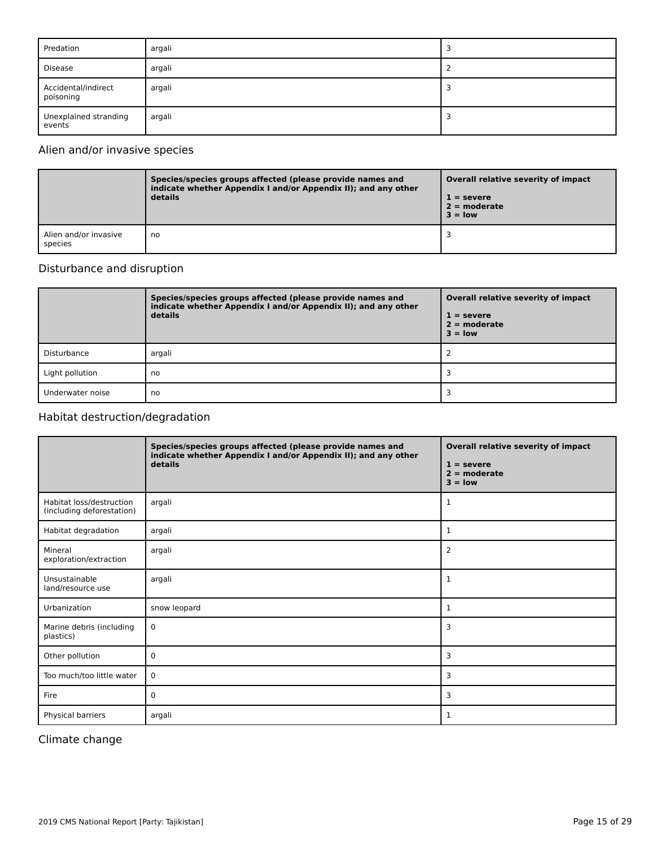| Predation                        | argali |  |
|----------------------------------|--------|--|
| Disease                          | argali |  |
| Accidental/indirect<br>poisoning | argali |  |
| Unexplained stranding<br>events  | argali |  |

### Alien and/or invasive species

|                                  | Species/species groups affected (please provide names and<br>indicate whether Appendix I and/or Appendix II); and any other<br>details | Overall relative severity of impact<br>$1 =$ severe<br>$2 =$ moderate<br>$3 = low$ |
|----------------------------------|----------------------------------------------------------------------------------------------------------------------------------------|------------------------------------------------------------------------------------|
| Alien and/or invasive<br>species | no                                                                                                                                     |                                                                                    |

### Disturbance and disruption

|                  | Species/species groups affected (please provide names and<br>indicate whether Appendix I and/or Appendix II); and any other<br>details | Overall relative severity of impact<br>$1 =$ severe<br>$2 =$ moderate<br>$3 =$ low |
|------------------|----------------------------------------------------------------------------------------------------------------------------------------|------------------------------------------------------------------------------------|
| Disturbance      | argali                                                                                                                                 |                                                                                    |
| Light pollution  | no                                                                                                                                     |                                                                                    |
| Underwater noise | no                                                                                                                                     |                                                                                    |

### Habitat destruction/degradation

|                                                       | Species/species groups affected (please provide names and<br>indicate whether Appendix I and/or Appendix II); and any other<br>details | Overall relative severity of impact<br>$1 =$ severe<br>$2 = moderate$<br>$3 = low$ |
|-------------------------------------------------------|----------------------------------------------------------------------------------------------------------------------------------------|------------------------------------------------------------------------------------|
| Habitat loss/destruction<br>(including deforestation) | argali                                                                                                                                 | 1                                                                                  |
| Habitat degradation                                   | argali                                                                                                                                 | 1                                                                                  |
| Mineral<br>exploration/extraction                     | argali                                                                                                                                 | 2                                                                                  |
| Unsustainable<br>land/resource use                    | argali                                                                                                                                 | 1                                                                                  |
| Urbanization                                          | snow leopard                                                                                                                           | 1                                                                                  |
| Marine debris (including<br>plastics)                 | 0                                                                                                                                      | 3                                                                                  |
| Other pollution                                       | 0                                                                                                                                      | 3                                                                                  |
| Too much/too little water                             | 0                                                                                                                                      | 3                                                                                  |
| Fire                                                  | 0                                                                                                                                      | 3                                                                                  |
| Physical barriers                                     | argali                                                                                                                                 | 1                                                                                  |

### Climate change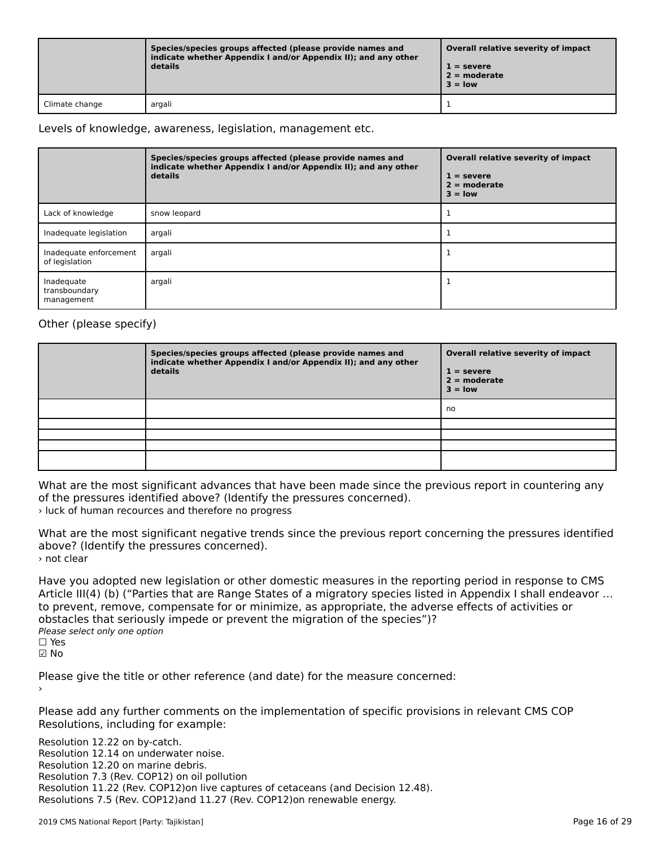|                | Species/species groups affected (please provide names and<br>indicate whether Appendix I and/or Appendix II); and any other<br>details | Overall relative severity of impact<br>$1 =$ severe<br>$2 =$ moderate<br>$3 =$ low |
|----------------|----------------------------------------------------------------------------------------------------------------------------------------|------------------------------------------------------------------------------------|
| Climate change | argali                                                                                                                                 |                                                                                    |

Levels of knowledge, awareness, legislation, management etc.

|                                           | Species/species groups affected (please provide names and<br>indicate whether Appendix I and/or Appendix II); and any other<br>details | Overall relative severity of impact<br>$1 =$ severe<br>$2 =$ moderate<br>$3 =$ low |
|-------------------------------------------|----------------------------------------------------------------------------------------------------------------------------------------|------------------------------------------------------------------------------------|
| Lack of knowledge                         | snow leopard                                                                                                                           |                                                                                    |
| Inadequate legislation                    | argali                                                                                                                                 |                                                                                    |
| Inadequate enforcement<br>of legislation  | argali                                                                                                                                 |                                                                                    |
| Inadequate<br>transboundary<br>management | argali                                                                                                                                 |                                                                                    |

### Other (please specify)

| Species/species groups affected (please provide names and<br>indicate whether Appendix I and/or Appendix II); and any other<br>details | Overall relative severity of impact<br>$1 =$ severe<br>$2 =$ moderate<br>$3 = low$ |
|----------------------------------------------------------------------------------------------------------------------------------------|------------------------------------------------------------------------------------|
|                                                                                                                                        | no                                                                                 |
|                                                                                                                                        |                                                                                    |
|                                                                                                                                        |                                                                                    |
|                                                                                                                                        |                                                                                    |
|                                                                                                                                        |                                                                                    |

What are the most significant advances that have been made since the previous report in countering any what are the most significant advances that have been made since the pressures identified above? (Identify the pressures concerned). › luck of human recources and therefore no progress

What are the most significant negative trends since the previous report concerning the pressures identified above? (Identify the pressures concerned). › not clear

Have you adopted new legislation or other domestic measures in the reporting period in response to CMS Article III(4) (b) ("Parties that are Range States of a migratory species listed in Appendix I shall endeavor … to prevent, remove, compensate for or minimize, as appropriate, the adverse effects of activities orto prevent, remove, compensate for or minimize, as appropriate, the adverse effects of activities or obstacles that seriously impede or prevent the migration of the species")? Please select only one option ☐ Yes☑ No

Please give the title or other reference (and date) for the measure concerned:

Please add any further comments on the implementation of specific provisions in relevant CMS COP Resolutions, including for example:

Resolution 12.22 on by-catch. Resolution 12.14 on underwater noise. Resolution 12.20 on marine debris. Resolution 7.3 (Rev. COP12) on oil pollution Resolution 11.22 (Rev. COP12)on live captures of cetaceans (and Decision 12.48). Resolutions 7.5 (Rev. COP12)and 11.27 (Rev. COP12)on renewable energy.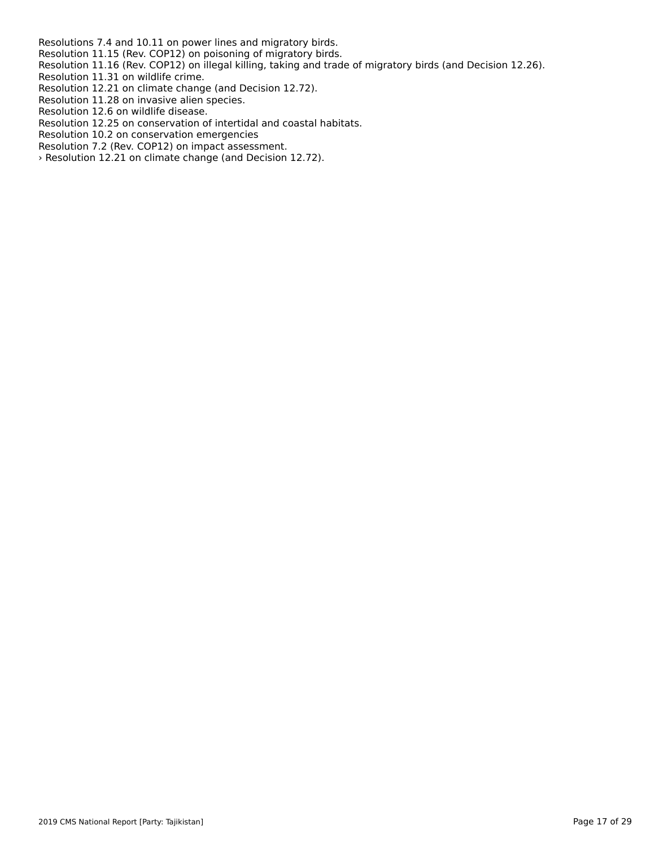Resolutions 7.4 and 10.11 on power lines and migratory birds.

Resolution 11.15 (Rev. COP12) on poisoning of migratory birds.

Resolution 11.16 (Rev. COP12) on illegal killing, taking and trade of migratory birds (and Decision 12.26). Resolution 11.31 on wildlife crime.

Resolution 11.31 on wildlife crime.<br>Resolution 12.21 on climate change (and Decision 12.72).

Resolution 11.28 on invasive alien species.

Resolution 12.6 on wildlife disease.

Resolution 12.25 on conservation of intertidal and coastal habitats.

Resolution 10.2 on conservation emergencies

Resolution 7.2 (Rev. COP12) on impact assessment.

Nesolution 7.2 (Nev. COP12) on impact assessment.<br>> Resolution 12.21 on climate change (and Decision 12.72).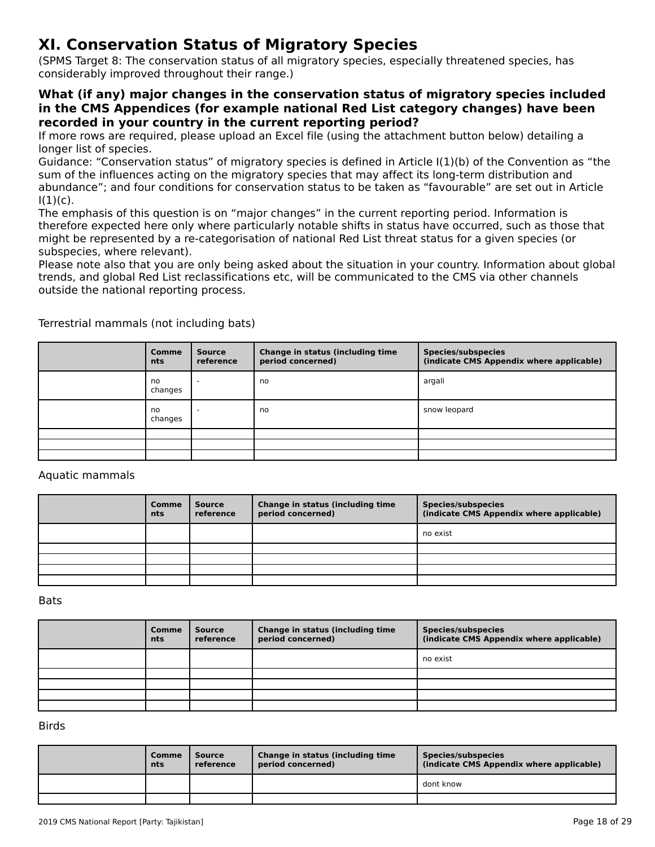# **XI. Conservation Status of Migratory Species**

(SPMS Target 8: The conservation status of all migratory species, especially threatened species, has considerably improved throughout their range.)

#### **What (if any) major changes in the conservation status of migratory species included in the CMS Appendices (for example national Red List category changes) have been recorded in your country in the current reporting period?**

If more rows are required, please upload an Excel file (using the attachment button below) detailing a<br>If more rows are required, please upload an Excel file (using the attachment button below) detailing a longer list of species.

fonger hat or species.<br>Guidance: "Conservation status" of migratory species is defined in Article I(1)(b) of the Convention as "the<br>sum of the influences action on the migratory species that may affect its long-term distri sum of the influences acting on the migratory species that may affect its long-term distribution and sum or the inhuences acting on the migratory species that may arrect its long-term distribution and<br>abundance"; and four conditions for conservation status to be taken as "favourable" are set out in Article<br>

ו, ו.,<br>The emphasis of this question is on "major changes" in the current reporting period. Information is therefore expected here only where particularly notable shifts in status have occurred, such as those thatmight be represented by a re-categorisation of national Red List threat status for a given species (or subspecies, where relevant).

subspecies, where relevant).<br>Please note also that you are only being asked about the situation in your country. Information about global trends, and global Red List reclassifications etc, will be communicated to the CMS via other channels outside the national reporting process.

| <b>Comme</b><br>nts | <b>Source</b><br>reference | Change in status (including time<br>period concerned) | Species/subspecies<br>(indicate CMS Appendix where applicable) |
|---------------------|----------------------------|-------------------------------------------------------|----------------------------------------------------------------|
| no<br>changes       | $\sim$                     | no                                                    | argali                                                         |
| no<br>changes       | $\overline{\phantom{a}}$   | no                                                    | snow leopard                                                   |
|                     |                            |                                                       |                                                                |
|                     |                            |                                                       |                                                                |
|                     |                            |                                                       |                                                                |

Terrestrial mammals (not including bats)

Aquatic mammals

| Comme<br>nts | <b>Source</b><br>reference | Change in status (including time<br>period concerned) | <b>Species/subspecies</b><br>(indicate CMS Appendix where applicable) |
|--------------|----------------------------|-------------------------------------------------------|-----------------------------------------------------------------------|
|              |                            |                                                       | no exist                                                              |
|              |                            |                                                       |                                                                       |
|              |                            |                                                       |                                                                       |
|              |                            |                                                       |                                                                       |
|              |                            |                                                       |                                                                       |

Bats

| Comme<br><b>nts</b> | <b>Source</b><br>reference | Change in status (including time<br>period concerned) | <b>Species/subspecies</b><br>(indicate CMS Appendix where applicable) |
|---------------------|----------------------------|-------------------------------------------------------|-----------------------------------------------------------------------|
|                     |                            |                                                       | no exist                                                              |
|                     |                            |                                                       |                                                                       |
|                     |                            |                                                       |                                                                       |
|                     |                            |                                                       |                                                                       |
|                     |                            |                                                       |                                                                       |

Birds

| <b>Comme</b><br>nts | Source<br>reference | <b>Change in status (including time)</b><br>period concerned) | Species/subspecies<br>(indicate CMS Appendix where applicable) |
|---------------------|---------------------|---------------------------------------------------------------|----------------------------------------------------------------|
|                     |                     |                                                               | dont know                                                      |
|                     |                     |                                                               |                                                                |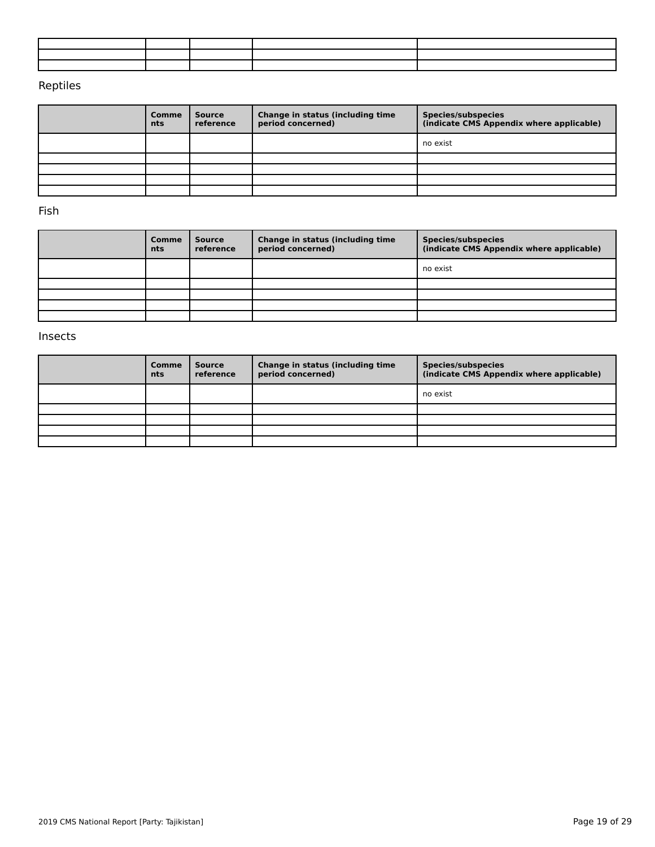### Reptiles

| Comme<br>nts | Source<br>reference | Change in status (including time<br>period concerned) | <b>Species/subspecies</b><br>(indicate CMS Appendix where applicable) |
|--------------|---------------------|-------------------------------------------------------|-----------------------------------------------------------------------|
|              |                     |                                                       | no exist                                                              |
|              |                     |                                                       |                                                                       |
|              |                     |                                                       |                                                                       |
|              |                     |                                                       |                                                                       |
|              |                     |                                                       |                                                                       |

Fish

| Comme<br>nts | Source<br>reference | Change in status (including time<br>period concerned) | <b>Species/subspecies</b><br>(indicate CMS Appendix where applicable) |
|--------------|---------------------|-------------------------------------------------------|-----------------------------------------------------------------------|
|              |                     |                                                       | no exist                                                              |
|              |                     |                                                       |                                                                       |
|              |                     |                                                       |                                                                       |
|              |                     |                                                       |                                                                       |
|              |                     |                                                       |                                                                       |

#### Insects

| Comme<br>nts | <b>Source</b><br>reference | Change in status (including time<br>period concerned) | Species/subspecies<br>(indicate CMS Appendix where applicable) |
|--------------|----------------------------|-------------------------------------------------------|----------------------------------------------------------------|
|              |                            |                                                       | no exist                                                       |
|              |                            |                                                       |                                                                |
|              |                            |                                                       |                                                                |
|              |                            |                                                       |                                                                |
|              |                            |                                                       |                                                                |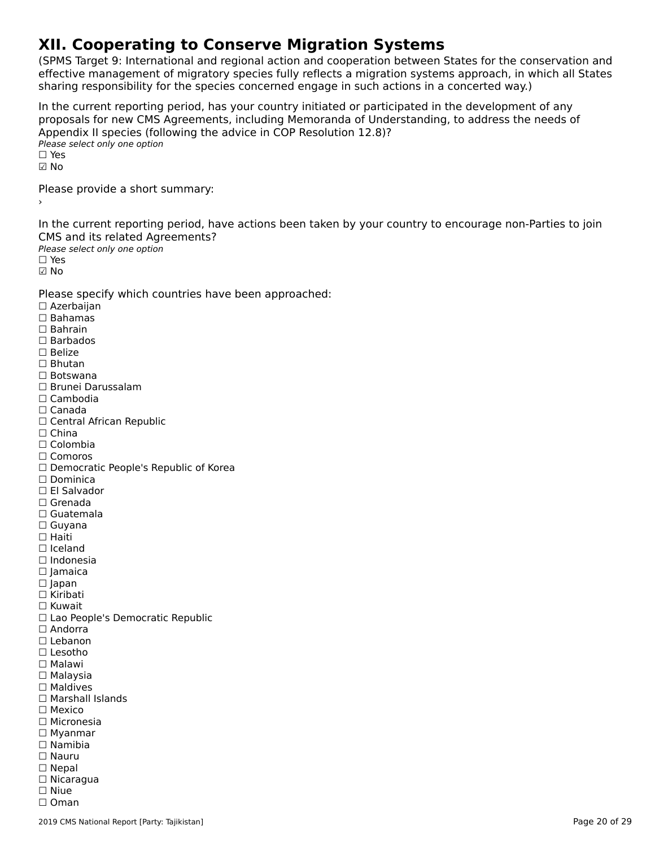# **XII. Cooperating to Conserve Migration Systems**

(SPMS Target 9: International and regional action and cooperation between States for the conservation and effective management of migratory species fully reflects a migration systems approach, in which all States sharing responsibility for the species concerned engage in such actions in a concerted way.)

In the current reporting period, has your country initiated or participated in the development of any In the current reporting period, has your country initiated or participated in the development or any<br>proposals for new CMS Agreements, including Memoranda of Understanding, to address the needs of ∩ppendix in species (form)<br>Please select only one option  $\square$  Yes ☑ NoPlease provide a short summary:›In the current reporting period, have actions been taken by your country to encourage non-Parties to join CMS and its related Agreements?Please select only one option ☐ Yes☑ No Please specify which countries have been approached: ☐ Azerbaijan ☐ Bahamas ☐ Bahrain☐ Barbados □ Barba<sub>'</sub><br>□ Belize ☐ Bhutan☐ Botswana ☐ Brunei Darussalam☐ Cambodia☐ Canada□ Canada<br>□ Central African Republic □ China<br>□ Colombia ☐ Comoros□ Comoros<br>□ Democratic People's Republic of Korea □ Dominica<br>□ El Salvador ☐ Grenada☐ Guatemala☐ Guyana ☐ Haiti☐ Iceland☐ Indonesia☐ Jamaica ☐ Japan □ Japan<br>□ Kiribati ☐ Kuwait □ Rawait<br>□ Lao People's Democratic Republic<br>□ Andorra □ Andorra<br>□ Lebanon ☐ Lesotho ☐ Malawi☐ Malaysia□ Maldives ☐ Marshall Islands☐ Mexico ☐ Micronesia ☐ Myanmar ☐ Namibia☐ Nauru□ Nauru<br>□ Nepal ☐ Nicaragua☐ Niue☐ Oman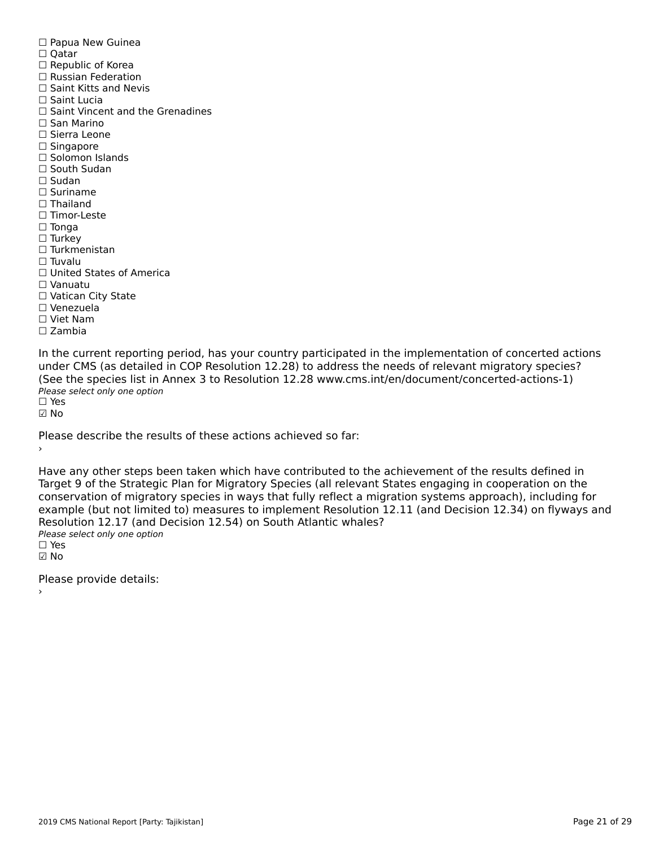☐ Papua New Guinea □ rapua<br>□ Qatar □ Qatar<br>□ Republic of Korea ☐ Russian Federation□ Russian Federation<br>□ Saint Kitts and Nevis ☐ Saint Lucia□ Saint Vincent and the Grenadines ☐ San Marino ☐ Sierra Leone ☐ Singapore □ Singapore<br>□ Solomon Islands ☐ Sudan ☐ Suriname□ Thailand ☐ Timor-Leste☐ Tonga ☐ Turkey ☐ Turkmenistan☐ Tuvalu☐ United States of America☐ Vanuatu□ vanuatu<br>□ Vatican City State ☐ Venezuela☐ Viet Nam☐ Zambia

In the current reporting period, has your country participated in the implementation of concerted actions<br>under CMS (as detailed in COP Resolution 12.29) to address the needs of relevant migratory species? under CMS (as detailed in COP Resolution 12.28) to address the needs of relevant migratory species? (See the species list in Annex 3 to Resolution 12.28 www.cms.int/en/document/concerted-actions-1) Please select only one option ☐ Yes

☑ No

Please describe the results of these actions achieved so far:›

Have any other steps been taken which have contributed to the achievement of the results defined in Target 9 of the Strategic Plan for Migratory Species (all relevant States engaging in cooperation on the rarget 9 of the Strategic Fram for migratory Species (an relevant States engaging in cooperation on the<br>conservation of migratory species in ways that fully reflect a migration systems approach), including for example (but not limited to) measures to implement Resolution 12.11 (and Decision 12.34) on flyways and Resolution 12.17 (and Decision 12.54) on South Atlantic whales?

∩esoration 12:17 (and *E*<br>Please select only one option  $\Box$  Yes ☑ No

Please provide details: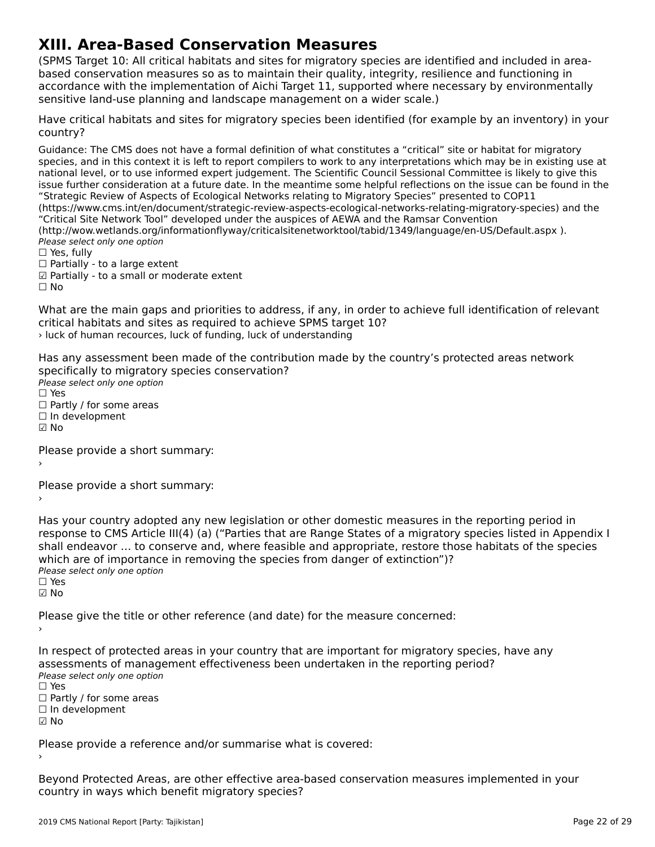# **XIII. Area-Based Conservation Measures**

(SPMS Target 10: All critical habitats and sites for migratory species are identified and included in area $b_{\rm B}$  and a set  $c_{\rm B}$  as the measures so as the main their quality,  $\frac{1}{2}$  and function  $\frac{1}{2}$  and function  $\frac{1}{2}$  in  $\frac{1}{2}$ based conservation measures so as to maintain their quality, integrity, resilience and functioning in based conservation measures so as to maintain their quality, integrity, resilience and runctioning in<br>accordance with the implementation of Aichi Target 11, supported where necessary by environmentally accordance with the implementation or Alchi Target 11, supported where he<br>sensitive land-use planning and landscape management on a wider scale.)

Have critical habitats and sites for migratory species been identified (for example by an inventory) in your country?

Guidance: The CMS does not have a formal definition of what constitutes a "critical" site or habitat for migratoryspecies, and in this context it is left to report compilers to work to any interpretations which may be in existing use at species, and in this context it is left to report compliers to work to any interpretations which may be in existing use<br>national level, or to use informed expert judgement. The Scientific Council Sessional Committee is lik issue further consideration at a future date. In the meantime some helpful reflections on the issue can be found in the "Strategic Review of Aspects of Ecological Networks relating to Migratory Species" presented to COP11 (https://www.cms.int/en/document/strategic-review-aspects-ecological-networks-relating-migratory-species) and the (https://www.critis.int/en/document/strategic-review-aspects-ecological-hetworks-relating-inigratory-species) a<br>"Critical Site Network Tool" developed under the auspices of AEWA and the Ramsar Convention (http://wow.wetlands.org/informationflyway/criticalsitenetworktool/tabid/1349/language/en-US/Default.aspx). Please select only one option ☐ Yes, fully $\Box$  Yes, fully

□ Tes, Tuny<br>□ Partially - to a large extent

☑ Partially - to a small or moderate extent

☐ No

What are the main gaps and priorities to address, if any, in order to achieve full identification of relevant what are the main gaps and phonties to address, if any, in order<br>critical habitats and sites as required to achieve SPMS target 10? › luck of human recources, luck of funding, luck of understanding

Has any assessment been made of the contribution made by the country's protected areas network rias any assessment been made or the contribi<br>specifically to migratory species conservation? Speemeany to migrator<sub>3</sub><br>Please select only one option  $\square$  Yes □ ies<br>□ Partly / for some areas □ rartiy / ior some<br>□ In development

☑ No

Please provide a short summary:›

Please provide a short summary:›

Has your country adopted any new legislation or other domestic measures in the reporting period in<br>response to CMS Article III(4) (a) ("Parties that are Pappe States of a migratory species listed in Appendix I response to CMS Article III(4) (a) ("Parties that are Range States of a migratory species listed in Appendix I shall endeavor … to conserve and, where feasible and appropriate, restore those habitats of the species shall endeavor ... to conserve and, where reasible and appropriate, restore the<br>which are of importance in removing the species from danger of extinction")? winch are or importance<br>Please select only one option ☐ Yes

☑ No

Please give the title or other reference (and date) for the measure concerned:

In respect of protected areas in your country that are important for migratory species, have any arriespect or protected areas in your country that are important for migratory species<br>assessments of management effectiveness been undertaken in the reporting period? assessments of manage<br>Please select only one option

☐ Yes

□ ies<br>□ Partly / for some areas

☐ In development

☑ No

Please provide a reference and/or summarise what is covered:

Beyond Protected Areas, are other effective area-based conservation measures implemented in your country in ways which benefit migratory species?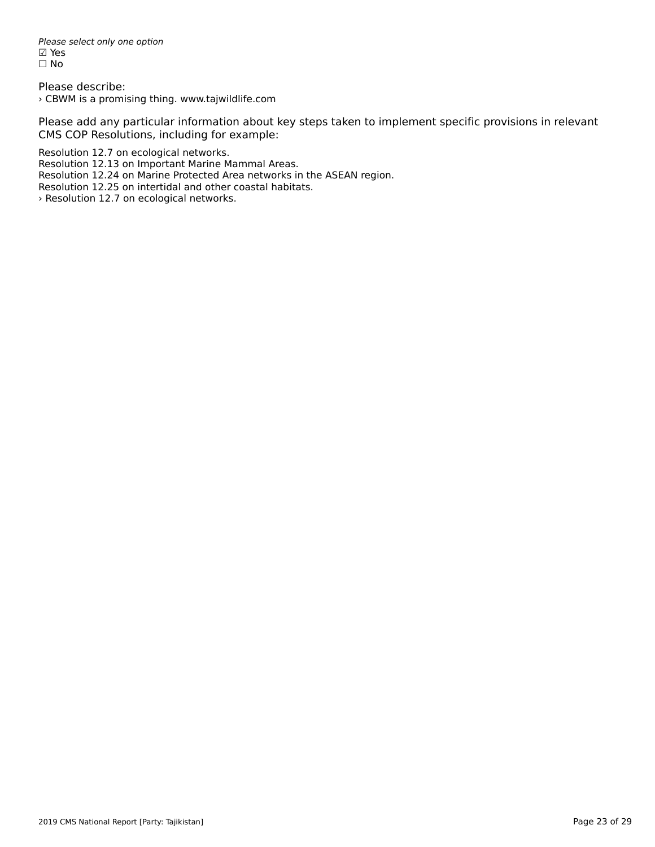Please select only one option riease<br>☑ Yes ☐ No

Please describe: › CBWM is a promising thing. www.tajwildlife.com

Please add any particular information about key steps taken to implement specific provisions in relevant CMS COP Resolutions, including for example:

Resolution 12.7 on ecological networks.

Resolution 12.13 on Important Marine Mammal Areas.

Resolution 12.24 on Marine Protected Area networks in the ASEAN region.

Nesolution 12.24 on manne Frotected Area hetworks in the<br>Resolution 12.25 on intertidal and other coastal habitats.

> Resolution 12.7 on ecological networks.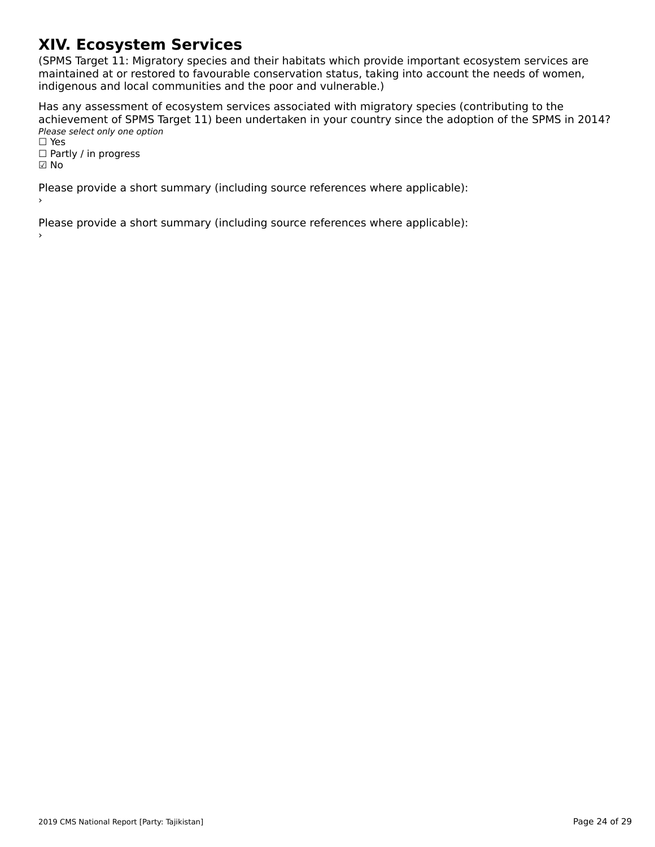# **XIV. Ecosystem Services**

(SPMS Target 11: Migratory species and their habitats which provide important ecosystem services are ה השומר ומודע האודט, ומודע האודט, ומודע האודע ומודע האודע ומודע האודע ומודע האודע ומודע האודע ומודע האודע וואס<br>,maintained at or restored to favourable conservation status, taking into account the needs of women indification at of restored to ravourable conservation status, taking<br>indigenous and local communities and the poor and vulnerable.)

Has any assessment of ecosystem services associated with migratory species (contributing to the achievement of SPMS Target 11) been undertaken in your country since the adoption of the SPMS in 2014? active verticite of 51 145 14<br>Please select only one option

rıease<br>□ Yes □ ies<br>□ Partly / in progress

☑ No

Please provide a short summary (including source references where applicable):

Please provide a short summary (including source references where applicable):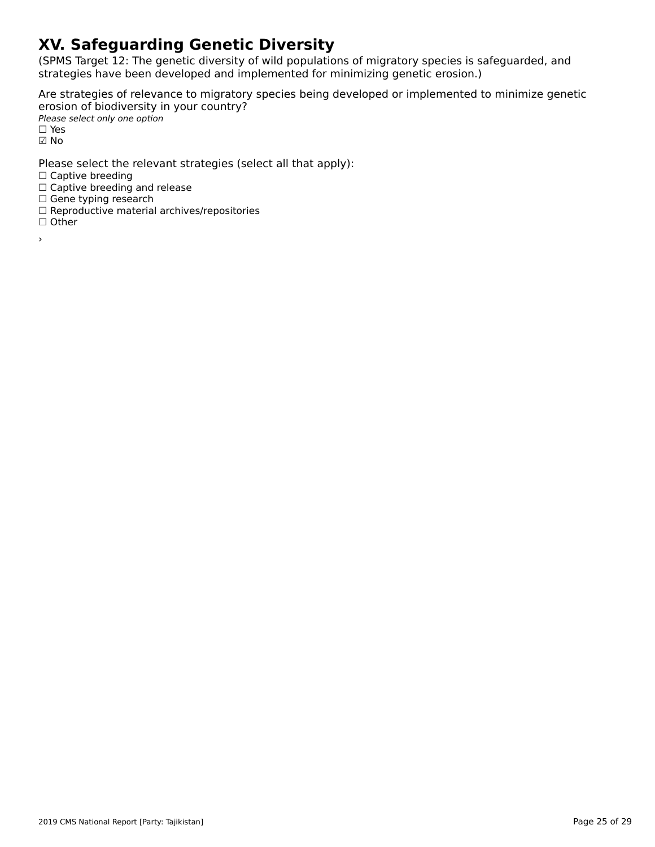# **XV. Safeguarding Genetic Diversity**

(SPMS Target 12: The genetic diversity of wild populations of migratory species is safeguarded, and strategies have been developed and implemented for minimizing genetic erosion.)

Are strategies of relevance to migratory species being developed or implemented to minimize genetic erosion of biodiversity in your country? ⊂1951911 of Broarversity<br>Please select only one option

 $\square$  Yes ☑ No

Please select the relevant strategies (select all that apply):

∩ Captive breeding

□ Captive breeding<br>□ Captive breeding and release

□ Captive breeding and<br>□ Gene typing research

□ Gene typing research<br>□ Reproductive material archives/repositories

☐ Other

›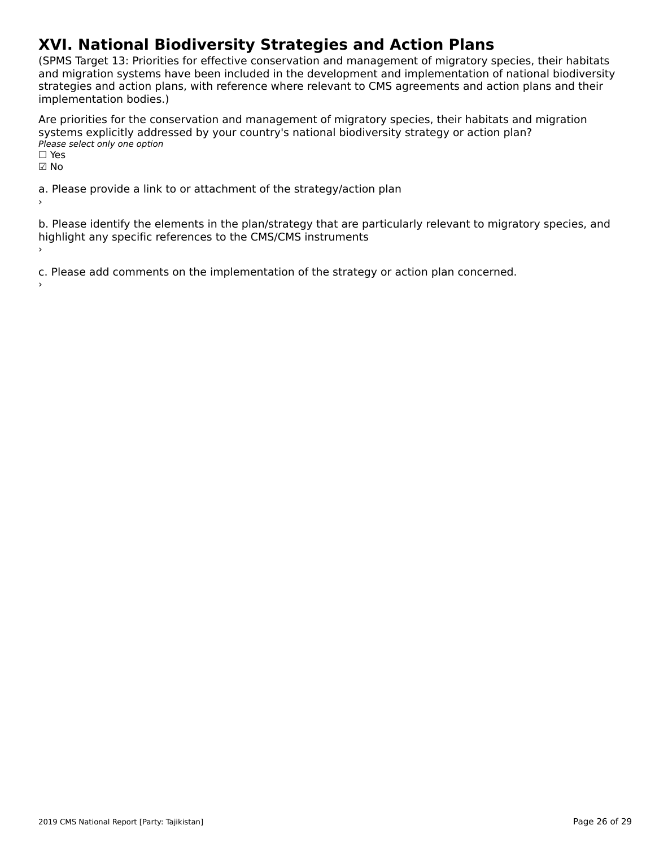# **XVI. National Biodiversity Strategies and Action Plans**

(SPMS Target 13: Priorities for effective conservation and management of migratory species, their habitats and migration systems have been included in the development and implementation of national biodiversity and imgradon systems have been included in the development and implementation or national biodiversi<br>strategies and action plans, with reference where relevant to CMS agreements and action plans and their implementation bodies.)

Are priorities for the conservation and management of migratory species, their habitats and migration systems explicitly addressed by your country's national biodiversity strategy or action plan? □ y seems exprently addit<br>Please select only one option  $\Box$  Yes

☑ No

a. Please provide a link to or attachment of the strategy/action plan

b. Please identify the elements in the plan/strategy that are particularly relevant to migratory species, and b. Frease identity the elements in the planystrategy that are provided.

c. Please add comments on the implementation of the strategy or action plan concerned.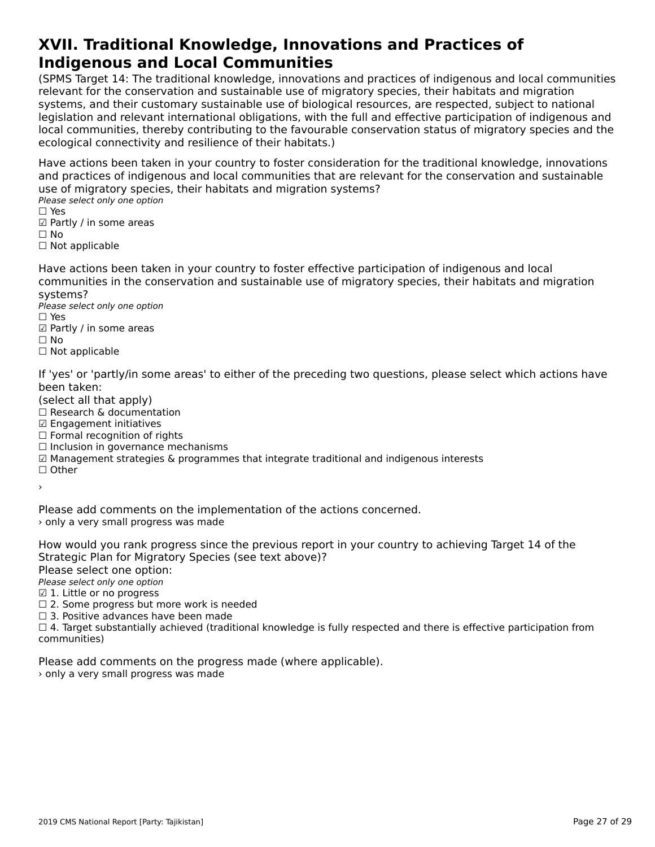#### **XVII. Traditional Knowledge, Innovations and Practices of Indigenous and Local CommunitiesIndigenous and Local Communities**

(SPMS Target 14: The traditional knowledge, innovations and practices of indigenous and local communities relevant for the conservation and sustainable use of migratory species, their habitats and migration<br>relevant for the conservation and sustainable use of migratory species, their habitats and migration relevant for the conservation and sustainable use of migratory species, their nabitats and migration<br>systems, and their customary sustainable use of biological resources, are respected, subject to national systems, and their customary sustainable use or biological resources, are respected, subject to hational<br>legislation and relevant international obligations, with the full and effective participation of indigenous and<br>legis local connectivities, thereby continuumy to the layou and conservation status of migratory species and the ecological connectivity and resilience of their habitats.)

Have actions been taken in your country to foster consideration for the traditional knowledge, innovations and practices of indigenous and local communities that are relevant for the conservation and sustainable use of migratory species, their habitats and migration systems?

ase of migratory specie<br>Please select only one option

- □ ies<br>☑ Partly / in some areas
- ⊠ rai<br>□ No
- □ Not applicable

Have actions been taken in your country to foster effective participation of indigenous and local communities in the conservation and sustainable use of migratory species, their habitats and migration systems?systems?

Please select only one option ☐ Yes

- $\square$  Yes □ ies<br>☑ Partly / in some areas
- 
- □ Not applicable

If 'yes' or 'partly/in some areas' to either of the preceding two questions, please select which actions have

- been taken.<br>(select all that apply)
- (select all that apply)<br>□ Research & documentation
- □ Research & documenta<br>☑ Engagement initiatives
- ☐ Formal recognition of rights
- □ Torman recognition or rights<br>□ Inclusion in governance mechanisms
- ☑ Management strategies & programmes that integrate traditional and indigenous interests
- ☐ Other›

Please add comments on the implementation of the actions concerned. I idead duct comments on the imple-<br>> only a very small progress was made

How would you rank progress since the previous report in your country to achieving Target 14 of the

Strategic Plan for Migratory Species (see text above)?

Please select one option:

∩ease select one option<br>Please select only one option

 $\boxtimes$  1. Little or no progress

- ☐ 2. Some progress but more work is needed
- $\square$  2. Some progress but more work is ne<br> $\square$  3. Positive advances have been made

☐ 4. Target substantially achieved (traditional knowledge is fully respected and there is effective participation from communities)

Please add comments on the progress made (where applicable).

> only a very small progress was made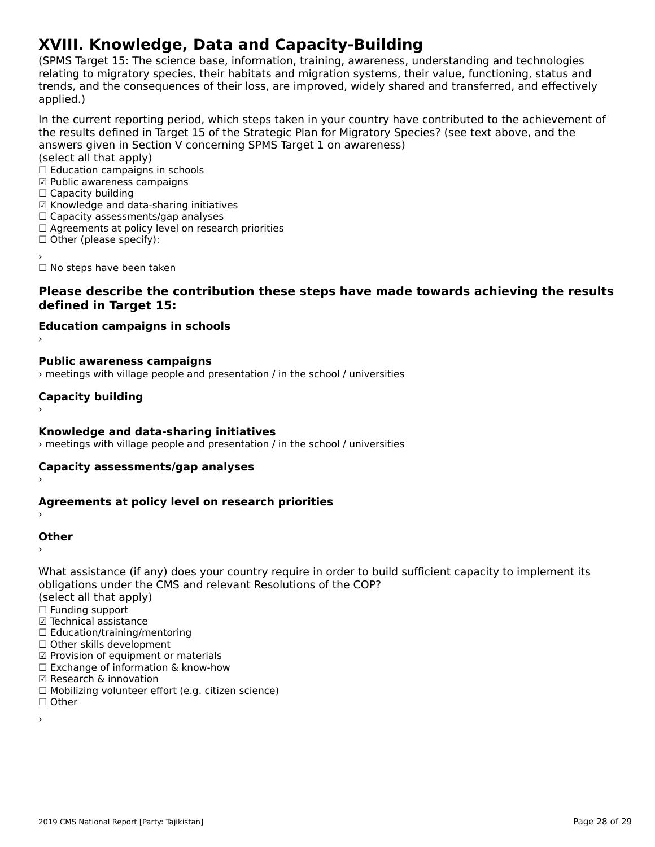# **XVIII. Knowledge, Data and Capacity-Building**

(SPMS Target 15: The science base, information, training, awareness, understanding and technologies ודה ומו הוירוס, anyet ו- the science base, information, training, awareness, understanding and technologies<br>relating to migratory species, their habitats and migration systems, their value, functioning, status and relating to migratory species, their habitats and migration systems, their value, functioning, status and<br>trends, and the consequences of their loss, are improved, widely shared and transferred, and effectively applied.)

In the current reporting period, which steps taken in your country have contributed to the achievement of answers given in Section V concerning Space in Section V concerning Space Section V concerning Space in the state of the Section V concerning Space in Section V concerning Space in Section V concerning Space in Section V c answers given in Section V concerning SPMS Target 1 on awareness)

- (select all that apply)
- (SCICCC difference apply)<br>□ Education campaigns in schools
- ☑ Public awareness campaigns ☐ Capacity building
- $\Box$  Capacity building
- ☑ Knowledge and data-sharing initiatives
- ⊠ Knowledge and data-sharing initiativ<br>□ Capacity assessments/gap analyses
- □ Capacity assessments/yap anaryses<br>□ Agreements at policy level on research priorities
- □ Agreements at policy is<br>□ Other (please specify):
- 

☐ No steps have been taken

#### **Please describe the contribution these steps have made towards achieving the results defined in Target 15:**

- **Education campaigns in schools** ›
- **Public awareness campaigns**

› meetings with village people and presentation / in the school / universities

### **Capacity building**

**Knowledge and data-sharing initiatives**

› meetings with village people and presentation / in the school / universities

### **Capacity assessments/gap analyses** ›

### **Agreements at policy level on research priorities** ›

#### **Other**

›

What assistance (if any) does your country require in order to build sufficient capacity to implement its<br>shlingtions under the CMS and relevant Baselutions of the COP? obligations under the CMS and relevant Resolutions of the COP?

- (select all that apply)
- ☐ Funding support
- ☑ Technical assistance
- ⊠ाechilical assistance<br>□ Education/training/mentoring
- □ Luucation/training/mento<br>□ Other skills development
- □ Other skills development<br>☑ Provision of equipment or materials
- $□$  Exchange of information & know-how
- ☑ Research & innovation
- ☐ Mobilizing volunteer effort (e.g. citizen science)
- ☐ Other
- ›